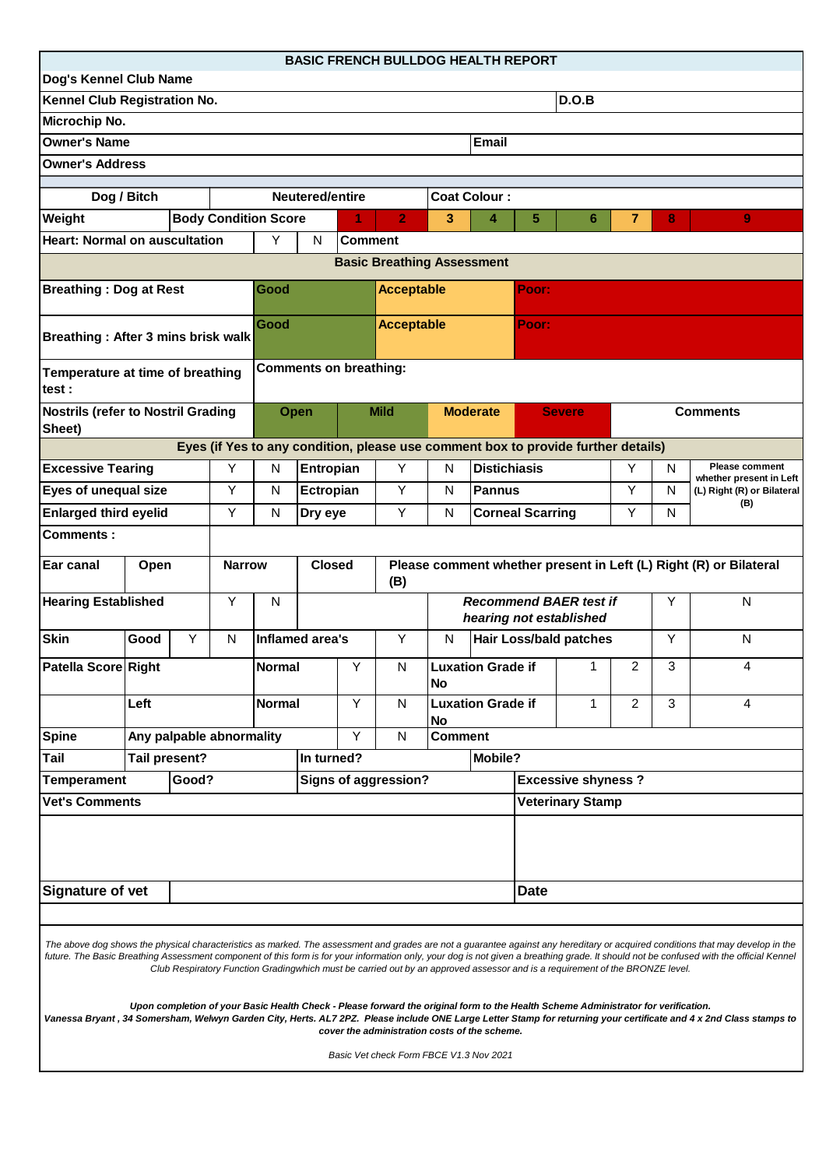| <b>BASIC FRENCH BULLDOG HEALTH REPORT</b><br>Dog's Kennel Club Name                                                                                                                                                                                                                                                                                                                                                                                                                                                                                                                                                                                                                                                                                                                                                                                                     |                               |                   |                                                                                           |                             |                               |    |                                                                    |                     |                     |                           |                                                                                   |                 |   |                                           |
|-------------------------------------------------------------------------------------------------------------------------------------------------------------------------------------------------------------------------------------------------------------------------------------------------------------------------------------------------------------------------------------------------------------------------------------------------------------------------------------------------------------------------------------------------------------------------------------------------------------------------------------------------------------------------------------------------------------------------------------------------------------------------------------------------------------------------------------------------------------------------|-------------------------------|-------------------|-------------------------------------------------------------------------------------------|-----------------------------|-------------------------------|----|--------------------------------------------------------------------|---------------------|---------------------|---------------------------|-----------------------------------------------------------------------------------|-----------------|---|-------------------------------------------|
| Kennel Club Registration No.<br>D.O.B                                                                                                                                                                                                                                                                                                                                                                                                                                                                                                                                                                                                                                                                                                                                                                                                                                   |                               |                   |                                                                                           |                             |                               |    |                                                                    |                     |                     |                           |                                                                                   |                 |   |                                           |
| Microchip No.                                                                                                                                                                                                                                                                                                                                                                                                                                                                                                                                                                                                                                                                                                                                                                                                                                                           |                               |                   |                                                                                           |                             |                               |    |                                                                    |                     |                     |                           |                                                                                   |                 |   |                                           |
| <b>Owner's Name</b><br><b>Email</b>                                                                                                                                                                                                                                                                                                                                                                                                                                                                                                                                                                                                                                                                                                                                                                                                                                     |                               |                   |                                                                                           |                             |                               |    |                                                                    |                     |                     |                           |                                                                                   |                 |   |                                           |
| <b>Owner's Address</b>                                                                                                                                                                                                                                                                                                                                                                                                                                                                                                                                                                                                                                                                                                                                                                                                                                                  |                               |                   |                                                                                           |                             |                               |    |                                                                    |                     |                     |                           |                                                                                   |                 |   |                                           |
|                                                                                                                                                                                                                                                                                                                                                                                                                                                                                                                                                                                                                                                                                                                                                                                                                                                                         |                               |                   |                                                                                           |                             |                               |    |                                                                    |                     |                     |                           |                                                                                   |                 |   |                                           |
| Dog / Bitch<br>Neutered/entire                                                                                                                                                                                                                                                                                                                                                                                                                                                                                                                                                                                                                                                                                                                                                                                                                                          |                               |                   |                                                                                           |                             |                               |    |                                                                    | <b>Coat Colour:</b> |                     |                           |                                                                                   |                 |   |                                           |
| Weight<br><b>Body Condition Score</b>                                                                                                                                                                                                                                                                                                                                                                                                                                                                                                                                                                                                                                                                                                                                                                                                                                   |                               |                   |                                                                                           |                             |                               |    | $\overline{2}$                                                     | 3                   | 4                   | 5                         | 6                                                                                 | 7               | 8 | 9                                         |
| <b>Heart: Normal on auscultation</b>                                                                                                                                                                                                                                                                                                                                                                                                                                                                                                                                                                                                                                                                                                                                                                                                                                    | Y                             | N                 | <b>Comment</b>                                                                            |                             |                               |    |                                                                    |                     |                     |                           |                                                                                   |                 |   |                                           |
| <b>Basic Breathing Assessment</b>                                                                                                                                                                                                                                                                                                                                                                                                                                                                                                                                                                                                                                                                                                                                                                                                                                       |                               |                   |                                                                                           |                             |                               |    |                                                                    |                     |                     |                           |                                                                                   |                 |   |                                           |
| <b>Breathing: Dog at Rest</b>                                                                                                                                                                                                                                                                                                                                                                                                                                                                                                                                                                                                                                                                                                                                                                                                                                           |                               |                   |                                                                                           | Good                        |                               |    | <b>Acceptable</b>                                                  |                     |                     | Poor:                     |                                                                                   |                 |   |                                           |
| Breathing: After 3 mins brisk walk                                                                                                                                                                                                                                                                                                                                                                                                                                                                                                                                                                                                                                                                                                                                                                                                                                      |                               |                   |                                                                                           | Good                        |                               |    | <b>Acceptable</b>                                                  |                     |                     | Poor:                     |                                                                                   |                 |   |                                           |
| Temperature at time of breathing<br>test :                                                                                                                                                                                                                                                                                                                                                                                                                                                                                                                                                                                                                                                                                                                                                                                                                              |                               |                   |                                                                                           |                             | <b>Comments on breathing:</b> |    |                                                                    |                     |                     |                           |                                                                                   |                 |   |                                           |
| <b>Nostrils (refer to Nostril Grading</b><br>Sheet)                                                                                                                                                                                                                                                                                                                                                                                                                                                                                                                                                                                                                                                                                                                                                                                                                     |                               |                   |                                                                                           | <b>Open</b>                 |                               |    | <b>Mild</b>                                                        |                     | <b>Moderate</b>     |                           | <b>Severe</b>                                                                     | <b>Comments</b> |   |                                           |
|                                                                                                                                                                                                                                                                                                                                                                                                                                                                                                                                                                                                                                                                                                                                                                                                                                                                         |                               |                   |                                                                                           |                             |                               |    |                                                                    |                     |                     |                           | Eyes (if Yes to any condition, please use comment box to provide further details) |                 |   |                                           |
|                                                                                                                                                                                                                                                                                                                                                                                                                                                                                                                                                                                                                                                                                                                                                                                                                                                                         | <b>Excessive Tearing</b><br>Υ |                   |                                                                                           | N<br>Entropian              |                               |    | Υ                                                                  | N                   | <b>Distichiasis</b> |                           |                                                                                   | Y               | N | Please comment<br>whether present in Left |
| Eyes of unequal size                                                                                                                                                                                                                                                                                                                                                                                                                                                                                                                                                                                                                                                                                                                                                                                                                                                    |                               |                   | Υ                                                                                         | N                           | Ectropian                     |    | Y                                                                  | N                   | <b>Pannus</b>       |                           |                                                                                   | Υ               | N | (L) Right (R) or Bilateral                |
| <b>Enlarged third eyelid</b>                                                                                                                                                                                                                                                                                                                                                                                                                                                                                                                                                                                                                                                                                                                                                                                                                                            |                               |                   | Y                                                                                         | N                           | Dry eye                       |    | Y                                                                  | N                   |                     | <b>Corneal Scarring</b>   |                                                                                   | Y               | N | (B)                                       |
| <b>Comments:</b>                                                                                                                                                                                                                                                                                                                                                                                                                                                                                                                                                                                                                                                                                                                                                                                                                                                        |                               |                   |                                                                                           |                             |                               |    |                                                                    |                     |                     |                           |                                                                                   |                 |   |                                           |
| Ear canal<br><b>Narrow</b><br>Open                                                                                                                                                                                                                                                                                                                                                                                                                                                                                                                                                                                                                                                                                                                                                                                                                                      |                               |                   | <b>Closed</b><br>Please comment whether present in Left (L) Right (R) or Bilateral<br>(B) |                             |                               |    |                                                                    |                     |                     |                           |                                                                                   |                 |   |                                           |
| Υ<br><b>Hearing Established</b>                                                                                                                                                                                                                                                                                                                                                                                                                                                                                                                                                                                                                                                                                                                                                                                                                                         |                               |                   | N                                                                                         |                             |                               |    | <b>Recommend BAER test if</b><br>Υ<br>N<br>hearing not established |                     |                     |                           |                                                                                   |                 |   |                                           |
| <b>Skin</b>                                                                                                                                                                                                                                                                                                                                                                                                                                                                                                                                                                                                                                                                                                                                                                                                                                                             | Good                          | Y<br>$\mathsf{N}$ |                                                                                           |                             | Inflamed area's               |    |                                                                    | N                   |                     |                           | Y<br><b>Hair Loss/bald patches</b><br>N                                           |                 |   |                                           |
| Patella Score Right                                                                                                                                                                                                                                                                                                                                                                                                                                                                                                                                                                                                                                                                                                                                                                                                                                                     |                               |                   |                                                                                           | Y<br><b>Normal</b>          |                               |    | $\mathsf{N}$                                                       | <b>No</b>           | Luxation Grade if   |                           | 1                                                                                 | $\mathfrak{p}$  | 3 | 4                                         |
| Left                                                                                                                                                                                                                                                                                                                                                                                                                                                                                                                                                                                                                                                                                                                                                                                                                                                                    |                               |                   | Υ<br><b>Normal</b>                                                                        |                             | N                             | No | <b>Luxation Grade if</b>                                           |                     | 1                   | $\overline{2}$            | 3                                                                                 | 4               |   |                                           |
| <b>Spine</b><br>Any palpable abnormality                                                                                                                                                                                                                                                                                                                                                                                                                                                                                                                                                                                                                                                                                                                                                                                                                                |                               |                   |                                                                                           |                             |                               | Y  | N                                                                  | <b>Comment</b>      |                     |                           |                                                                                   |                 |   |                                           |
| Tail present?<br>Tail                                                                                                                                                                                                                                                                                                                                                                                                                                                                                                                                                                                                                                                                                                                                                                                                                                                   |                               |                   |                                                                                           | Mobile?<br>In turned?       |                               |    |                                                                    |                     |                     |                           |                                                                                   |                 |   |                                           |
| Good?<br><b>Temperament</b>                                                                                                                                                                                                                                                                                                                                                                                                                                                                                                                                                                                                                                                                                                                                                                                                                                             |                               |                   |                                                                                           | <b>Signs of aggression?</b> |                               |    |                                                                    |                     |                     | <b>Excessive shyness?</b> |                                                                                   |                 |   |                                           |
| <b>Vet's Comments</b>                                                                                                                                                                                                                                                                                                                                                                                                                                                                                                                                                                                                                                                                                                                                                                                                                                                   |                               |                   |                                                                                           |                             |                               |    | <b>Veterinary Stamp</b>                                            |                     |                     |                           |                                                                                   |                 |   |                                           |
|                                                                                                                                                                                                                                                                                                                                                                                                                                                                                                                                                                                                                                                                                                                                                                                                                                                                         |                               |                   |                                                                                           |                             |                               |    |                                                                    |                     |                     |                           |                                                                                   |                 |   |                                           |
| <b>Signature of vet</b>                                                                                                                                                                                                                                                                                                                                                                                                                                                                                                                                                                                                                                                                                                                                                                                                                                                 |                               |                   |                                                                                           |                             |                               |    |                                                                    |                     |                     | <b>Date</b>               |                                                                                   |                 |   |                                           |
| The above dog shows the physical characteristics as marked. The assessment and grades are not a guarantee against any hereditary or acquired conditions that may develop in the<br>future. The Basic Breathing Assessment component of this form is for your information only, your dog is not given a breathing grade. It should not be confused with the official Kennel<br>Club Respiratory Function Gradingwhich must be carried out by an approved assessor and is a requirement of the BRONZE level.<br>Upon completion of your Basic Health Check - Please forward the original form to the Health Scheme Administrator for verification.<br>Vanessa Bryant, 34 Somersham, Welwyn Garden City, Herts. AL7 2PZ. Please include ONE Large Letter Stamp for returning your certificate and 4 x 2nd Class stamps to<br>cover the administration costs of the scheme. |                               |                   |                                                                                           |                             |                               |    |                                                                    |                     |                     |                           |                                                                                   |                 |   |                                           |
|                                                                                                                                                                                                                                                                                                                                                                                                                                                                                                                                                                                                                                                                                                                                                                                                                                                                         |                               |                   |                                                                                           |                             |                               |    | Basic Vet check Form FBCE V1.3 Nov 2021                            |                     |                     |                           |                                                                                   |                 |   |                                           |